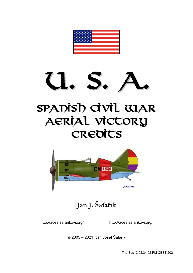

# **Spanish Civil War Aerial Victory Credits**



**Jan J. Šafařík**

<http://aces.safarikovi.org/> <http://aces.safarikovi.org/>

© 2005 – 2021 Jan Josef Šafařík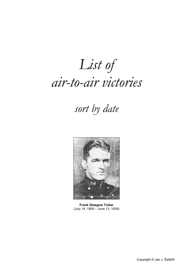# *List of air-to-air victories*

# *sort by date*



**Frank Glasgow Tinker** (July 14, 1909 – June 13, 1939)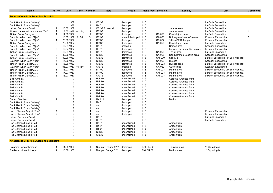| <b>Name</b>                                  | Kill no.       | Date                       | Time | <b>Number</b>  | <b>Type</b>                       | Result               | Plane type Serial no. |        | Locality                        | Unit                                | <b>Comments</b> |
|----------------------------------------------|----------------|----------------------------|------|----------------|-----------------------------------|----------------------|-----------------------|--------|---------------------------------|-------------------------------------|-----------------|
|                                              |                |                            |      |                |                                   |                      |                       |        |                                 |                                     |                 |
| <b>Fuerza Aérea de la República Española</b> |                |                            |      |                |                                   |                      |                       |        |                                 |                                     |                 |
| Dahl, Harold Evans "Whitey"                  |                | 1937                       |      | 1              | CR.32                             | destroyed            | $I-15$                |        |                                 | La Calle Escuadrilla                |                 |
| Dahl, Harold Evans "Whitey"                  |                | 1937                       |      | $\overline{1}$ | He 51                             | destroyed            | $I-15$                |        |                                 | La Calle Escuadrilla                |                 |
| Leider, Benjamin David                       | -1             | 13.02.1937                 |      | $\overline{1}$ | CR.32 ? Heinkel                   | destroyed            | $I-15$                |        | Jarama area                     | La Calle Escuadrilla                |                 |
| Allison, James William Marion "Tex"          | $\mathbf{1}$   | 18.02.1937 morning         |      | $\mathbf{1}$   | CR.32                             | destroyed            | $I-15$                |        | Jarama area                     | La Calle Escuadrilla                | 1.              |
| Tinker, Frank Glasgow, Jr.                   | $\overline{1}$ | 14.03.1937                 |      | $\overline{1}$ | CR.32                             | destroyed            | $I-15$                | CA-056 | Guadalajara area                | La Calle Escuadrilla                |                 |
| Baumler, Albert John "Ajax"                  |                | 16.03.1937 11:30           |      | $\frac{1}{2}$  | CR.32                             | shared destroyed     | $1 - 15$              | CA-023 | Brihuega-Valdesor-Pajares       | Kosakov Escuadrilla                 | 2.              |
| Baumler, Albert John "Ajax"                  | -1             | 20.03.1937                 |      | $\overline{1}$ | CR.32                             | destroyed            | $I-15$                | CA-022 | 10 km SE Brihuega               | Kosakov Escuadrilla                 |                 |
| Tinker, Frank Glasgow, Jr.                   | $\overline{2}$ | 20.03.1937                 |      | $\overline{1}$ | CR.32                             | destroyed            | $I-15$                | CA-056 | Guadalajara area                | La Calle Escuadrilla                |                 |
| Baumler, Albert John "Ajax"                  |                | 17.04.1937                 |      | 1              | He 51                             | probable             | $-15$                 |        | Sarrion area                    | Kosakov Escuadrilla                 |                 |
| Baumler, Albert John "Ajax"                  | $\overline{2}$ | 17.04.1937                 |      | -1             | He 51                             | destroyed            | $-15$                 |        | between the lines, Sarrion area | Kosakov Escuadrilla                 |                 |
| Tinker, Frank Glasgow, Jr.                   | 3              | 17.04.1937                 |      |                | He 51                             | destroyed            | $I-15$                | CA-058 | Teruel area                     | La Calle Escuadrilla                |                 |
| Baumler, Albert John "Ajax"                  | 3              | 02.06.1937                 |      | -1             | CR.32                             | destroyed            | $I-16$                | CA-065 | San Ildefonso-Segovia area      | Kosakov Escuadrilla                 |                 |
| Tinker, Frank Glasgow, Jr.                   | 4              | 02.06.1937                 |      | 1              | CR.32                             | destroyed            | $I-16$                | CM-070 | Segovia                         | Lakeev Escuadrilla (1ª Esc. Moscas) |                 |
| Baumler, Albert John "Ajax"                  | 4              | 14.06.1937                 |      | $\overline{1}$ | CR.32                             | destroyed            | $I-16$                | CA-069 | Huesca                          | Kosakov Escuadrilla                 |                 |
| Tinker, Frank Glasgow, Jr.                   | 5              | 16.06.1937                 |      | 1              | CR.32                             | destroyed            | $I - 16$              | CM-023 | Huesca area                     | Lakeev Escuadrilla (1ª Esc. Moscas) |                 |
| Baumler, Albert John "Ajax"                  |                | 08.07.1937 16:45~          |      | $\overline{1}$ | CR.32                             | probable             | $I-16$                | CA-022 | Quejormas                       | Kosakov Escuadrilla                 |                 |
| Tinker, Frank Glasgow, Jr.                   | 6              | 13.07.1937                 |      | $\overline{1}$ | <b>Bf 109</b>                     | destroyed            | $I-16$                | CM-023 | Madrid area                     | Lakeev Escuadrilla (1ª Esc. Moscas) |                 |
| Tinker, Frank Glasgow, Jr.                   | $\overline{7}$ | 17.07.1937                 |      | $\overline{1}$ | <b>Bf 109</b>                     | destroyed            | $I-16$                | CM-023 | Madrid area                     | Lakeev Escuadrilla (1ª Esc. Moscas) |                 |
| Tinker, Frank Glasgow, Jr.                   | 8              | 18.07.1937                 |      | 1              | CR.32                             | destroyed            | $I-16$                | CM-023 | Madrid area                     | Lakeev Escuadrilla (1ª Esc. Moscas) |                 |
| Bell, Orrin D.                               |                | $\mathcal{P}$              |      | -1             | Heinkel                           | unconfirmed          | $I-15$                |        | Cordova-Granada front           |                                     |                 |
| Bell, Orrin D.                               |                | $\boldsymbol{\mathcal{P}}$ |      | -1             | Heinkel                           | unconfirmed          | $I-15$                |        | Cordova-Granada front           |                                     |                 |
| Bell, Orrin D.                               |                | $\mathcal{P}$              |      | -1             | Heinkel                           | unconfirmed          | $I-15$                |        | Cordova-Granada front           |                                     |                 |
| Bell, Orrin D.                               |                | ?                          |      | -1             | Heinkel                           | unconfirmed          | $I-15$                |        | Cordova-Granada front           |                                     |                 |
| Bell, Orrin D.                               |                | $\mathcal{P}$              |      | $\overline{1}$ | Heinkel                           | unconfirmed          | $I-15$                |        | Cordova-Granada front           |                                     |                 |
| Bell, Orrin D.                               |                | ?                          |      | $\overline{1}$ | Heinkel                           | unconfirmed          | $I-15$                |        | Cordova-Granada front           |                                     |                 |
| Bell, Orrin D.                               |                | $\mathcal{P}$              |      | -1             | Heinkel                           | unconfirmed          | $1 - 15$              |        | Cordova-Granada front           |                                     |                 |
| Daduk, Stephen                               | -1             | $\boldsymbol{\mathcal{P}}$ |      | -1             | He 111                            | destroyed            | $I-15$                |        | Madrid                          |                                     |                 |
| Dahl, Harold Evans "Whitey"                  |                | ?                          |      |                | He 51                             | destroyed            | $I-15$                |        |                                 |                                     |                 |
| Dahl, Harold Evans "Whitey"                  |                | $\mathcal{P}$              |      | 1              | e/a                               | destroyed            | $I-15$                |        |                                 |                                     |                 |
| Dahl, Harold Evans "Whitey"                  |                | ?                          |      |                | e/a                               | destroyed            | $I-15$                |        |                                 |                                     |                 |
| Koch, Charles August "Tiny"                  | 1              | $\boldsymbol{\mathcal{P}}$ |      |                | e/a                               | destroyed            | $I-15$                |        |                                 | Kosakov Escuadrilla                 |                 |
| Koch, Charles August "Tiny"                  | 2              | ?                          |      | -1             | e/a                               | destroyed            | $I-15$                |        |                                 | Kosakov Escuadrilla                 |                 |
| Leider, Benjamin David                       |                | $\mathcal{P}$              |      |                | He 51                             | $\ddot{\phantom{1}}$ | $I-15$                |        |                                 | La Calle Escuadrilla                |                 |
| Leider, Benjamin David                       |                | $\mathcal{P}$              |      |                | He 51                             |                      | $I-15$                |        |                                 | La Calle Escuadrilla                |                 |
| Peck, James Lincoln Holt                     |                | $\mathcal{P}$              |      | -1             | He 51                             | unconfirmed          | $-15$                 |        | Aragon front                    |                                     |                 |
| Peck, James Lincoln Holt                     |                | $\mathcal{P}$              |      | 1              | He 51                             | unconfirmed          | $I-15$                |        | Aragon front                    |                                     |                 |
| Peck. James Lincoln Holt                     |                | $\mathcal{P}$              |      | 1              | He 51                             | unconfirmed          | $I-15$                |        | Aragon front                    |                                     |                 |
| Peck, James Lincoln Holt                     |                | ?                          |      | $\overline{1}$ | CR.32                             | unconfirmed          | $I-15$                |        | Aragon front                    |                                     |                 |
| Peck, James Lincoln Holt                     |                | $\boldsymbol{\gamma}$      |      | $\overline{1}$ | CR.32                             | unconfirmed          | $I-15$                |        | Aragon front                    |                                     |                 |
| Aviación de El Tercio, Aviazione Legionaira  |                |                            |      |                |                                   |                      |                       |        |                                 |                                     |                 |
| Patriarca, Vincent Joseph                    | -1             | 11.09.1936                 |      | -1             | Nieuport Delage 52 <sup>(a)</sup> | destroved            | Fiat CR.32            |        | Talavera area                   | 1 <sup>ª</sup> Squadriglia          |                 |
| Patriarca. Vincent Joseph                    | 2              | 13.09.1936                 |      | $\mathbf{1}$   | Nieuport Delage 52 <sup>(b)</sup> | destroved            | Fiat CR.32            |        | Madrid area                     | 1 <sup>ª</sup> Squadriglia          |                 |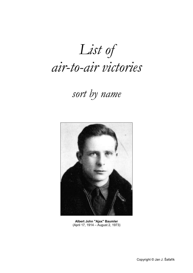*List of air-to-air victories*

## *sort by name*



**Albert John "Ajax" Baumler** (April 17, 1914 – August 2, 1973)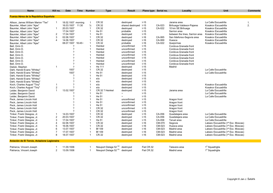| <b>Name</b>                                  | Kill no.             | <b>Date</b>                | Time   | <b>Number</b>  | <b>Type</b>                       | <b>Result</b>       | Plane type Serial no. |        | Locality                        | <b>Unit</b>                         | <b>Comments</b> |
|----------------------------------------------|----------------------|----------------------------|--------|----------------|-----------------------------------|---------------------|-----------------------|--------|---------------------------------|-------------------------------------|-----------------|
| <b>Fuerza Aérea de la República Española</b> |                      |                            |        |                |                                   |                     |                       |        |                                 |                                     |                 |
|                                              |                      |                            |        |                |                                   |                     |                       |        |                                 |                                     |                 |
| Allison, James William Marion "Tex"          | $\mathbf{1}$         | 18.02.1937 morning         |        | $\mathbf{1}$   | CR.32                             | destroyed           | $I-15$                |        | Jarama area                     | La Calle Escuadrilla                | 1.              |
| Baumler, Albert John "Ajax"                  |                      | 16.03.1937 11:30           |        | $\frac{1}{2}$  | CR.32                             | shared destroyed    | $I-15$                | CA-023 | Brihuega-Valdesor-Pajares       | Kosakov Escuadrilla                 | 2.              |
| Baumler, Albert John "Ajax"                  | 1                    | 20.03.1937                 |        | $\mathbf{1}$   | CR.32                             | destroyed           | $I-15$                | CA-022 | 10 km SE Brihuega               | Kosakov Escuadrilla                 |                 |
| Baumler, Albert John "Ajax"                  |                      | 17.04.1937                 |        | $\mathbf{1}$   | He 51                             | probable            | $-15$                 |        | Sarrion area                    | Kosakov Escuadrilla                 |                 |
| Baumler, Albert John "Ajax"                  | $\overline{2}$       | 17.04.1937                 |        |                | He 51                             | destroyed           | $-15$                 |        | between the lines, Sarrion area | Kosakov Escuadrilla                 |                 |
| Baumler, Albert John "Ajax"                  | 3                    | 02.06.1937                 |        |                | CR.32                             | destroyed           | $I-16$                | CA-065 | San Ildefonso-Segovia area      | Kosakov Escuadrilla                 |                 |
| Baumler, Albert John "Ajax"                  | 4                    | 14.06.1937                 |        |                | CR.32                             | destroyed           | $I-16$                | CA-069 | Huesca                          | Kosakov Escuadrilla                 |                 |
| Baumler, Albert John "Ajax"                  |                      | 08.07.1937                 | 16:45~ | -1             | CR.32                             | probable            | $I-16$                | CA-022 | Quejormas                       | Kosakov Escuadrilla                 |                 |
| Bell, Orrin D.                               |                      |                            |        | $\mathbf{1}$   | Heinkel                           | unconfirmed         | $-15$                 |        | Cordova-Granada front           |                                     |                 |
| Bell, Orrin D.                               |                      | $\overline{\phantom{a}}$   |        | $\overline{1}$ | Heinkel                           | unconfirmed         | $-15$                 |        | Cordova-Granada front           |                                     |                 |
| Bell, Orrin D.                               |                      | $\gamma$                   |        | $\mathbf{1}$   | Heinkel                           | unconfirmed         | $I-15$                |        | Cordova-Granada front           |                                     |                 |
| Bell, Orrin D.                               |                      | ?                          |        | $\mathbf{1}$   | Heinkel                           | unconfirmed         | $-15$                 |        | Cordova-Granada front           |                                     |                 |
| Bell, Orrin D.                               |                      | ?                          |        | $\mathbf{1}$   | Heinkel                           | unconfirmed         | $I-15$                |        | Cordova-Granada front           |                                     |                 |
| Bell, Orrin D.                               |                      | ?                          |        | $\overline{1}$ | Heinkel                           | unconfirmed         | $I-15$                |        | Cordova-Granada front           |                                     |                 |
| Bell, Orrin D.                               |                      | $\boldsymbol{\mathcal{P}}$ |        | $\overline{1}$ | Heinkel                           | unconfirmed         | $-15$                 |        | Cordova-Granada front           |                                     |                 |
| Daduk, Stephen                               | -1                   | $\overline{\mathcal{L}}$   |        | $\mathbf{1}$   | He 111                            | destroyed           | $I-15$                |        | Madrid                          |                                     |                 |
| Dahl, Harold Evans "Whitey"                  |                      | 1937                       |        |                | CR.32                             | destroyed           | $1 - 15$              |        |                                 | La Calle Escuadrilla                |                 |
| Dahl, Harold Evans "Whitey"                  |                      | 1937                       |        |                | He 51                             | destroyed           | $I-15$                |        |                                 | La Calle Escuadrilla                |                 |
| Dahl, Harold Evans "Whitey"                  |                      | ?                          |        |                | He 51                             | destroyed           | $-15$                 |        |                                 |                                     |                 |
| Dahl, Harold Evans "Whitey"                  |                      | $\overline{?}$             |        |                | e/a                               | destroyed           | $-15$                 |        |                                 |                                     |                 |
| Dahl, Harold Evans "Whitey"                  |                      | ?                          |        |                | e/a                               | destroyed           | $I-15$                |        |                                 |                                     |                 |
|                                              |                      | $\gamma$                   |        |                | e/a                               | destroyed           | $-15$                 |        |                                 | Kosakov Escuadrilla                 |                 |
| Koch, Charles August "Tiny"                  | -1<br>$\overline{2}$ | ?                          |        | $\overline{1}$ |                                   |                     |                       |        |                                 | Kosakov Escuadrilla                 |                 |
| Koch, Charles August "Tiny"                  | $\mathbf{1}$         | 13.02.1937                 |        | -1             | e/a<br>CR.32 ? Heinkel            | destroyed           | $I-15$                |        |                                 |                                     |                 |
| Leider, Benjamin David                       |                      |                            |        | $\overline{1}$ |                                   | destroyed<br>$\sim$ | $I-15$                |        | Jarama area                     | La Calle Escuadrilla                |                 |
| Leider, Benjamin David                       |                      | 2                          |        |                | He 51                             |                     | $-15$                 |        |                                 | La Calle Escuadrilla                |                 |
| Leider, Benjamin David                       |                      |                            |        | $\overline{1}$ | He 51                             |                     | $I-15$                |        |                                 | La Calle Escuadrilla                |                 |
| Peck, James Lincoln Holt                     |                      | $\overline{\phantom{a}}$   |        | $\overline{1}$ | He 51                             | unconfirmed         | $I-15$                |        | Aragon front                    |                                     |                 |
| Peck, James Lincoln Holt                     |                      | ?                          |        |                | He 51                             | unconfirmed         | $I-15$                |        | Aragon front                    |                                     |                 |
| Peck, James Lincoln Holt                     |                      | $\boldsymbol{\mathcal{P}}$ |        | $\mathbf{1}$   | He 51                             | unconfirmed         | $-15$                 |        | Aragon front                    |                                     |                 |
| Peck, James Lincoln Holt                     |                      | $\mathcal{P}$              |        | -1             | CR.32                             | unconfirmed         | $-15$                 |        | Aragon front                    |                                     |                 |
| Peck, James Lincoln Holt                     |                      | $\mathcal{P}$              |        | $\overline{1}$ | CR.32                             | unconfirmed         | $I-15$                |        | Aragon front                    |                                     |                 |
| Tinker, Frank Glasgow, Jr.                   | 1                    | 14.03.1937                 |        |                | CR.32                             | destroyed           | $-15$                 | CA-056 | Guadalajara area                | La Calle Escuadrilla                |                 |
| Tinker, Frank Glasgow, Jr.                   | $\overline{2}$       | 20.03.1937                 |        |                | CR.32                             | destroyed           | $-15$                 | CA-056 | Guadalajara area                | La Calle Escuadrilla                |                 |
| Tinker, Frank Glasgow, Jr.                   | 3                    | 17.04.1937                 |        |                | He 51                             | destroyed           | $I-15$                | CA-058 | Teruel area                     | La Calle Escuadrilla                |                 |
| Tinker, Frank Glasgow, Jr.                   | $\overline{4}$       | 02.06.1937                 |        |                | CR.32                             | destroyed           | $I-16$                | CM-070 | Segovia                         | Lakeev Escuadrilla (1ª Esc. Moscas) |                 |
| Tinker, Frank Glasgow, Jr.                   | 5                    | 16.06.1937                 |        |                | CR.32                             | destroyed           | $I-16$                | CM-023 | Huesca area                     | Lakeev Escuadrilla (1ª Esc. Moscas) |                 |
| Tinker, Frank Glasgow, Jr.                   | 6                    | 13.07.1937                 |        | 1              | <b>Bf 109</b>                     | destroyed           | $I-16$                | CM-023 | Madrid area                     | Lakeev Escuadrilla (1ª Esc. Moscas) |                 |
| Tinker, Frank Glasgow, Jr.                   | $\overline{7}$       | 17.07.1937                 |        | -1             | <b>Bf 109</b>                     | destroyed           | $I-16$                | CM-023 | Madrid area                     | Lakeev Escuadrilla (1ª Esc. Moscas) |                 |
| Tinker, Frank Glasgow, Jr.                   | 8                    | 18.07.1937                 |        | $\mathbf{1}$   | CR.32                             | destroyed           | $I-16$                | CM-023 | Madrid area                     | Lakeev Escuadrilla (1ª Esc. Moscas) |                 |
| Aviación de El Tercio, Aviazione Legionaira  |                      |                            |        |                |                                   |                     |                       |        |                                 |                                     |                 |
| Patriarca, Vincent Joseph                    |                      | 11.09.1936                 |        |                | Nieuport Delage 52 <sup>(a)</sup> | destroyed           | Fiat CR.32            |        | Talavera area                   | 1 <sup>ª</sup> Squadriglia          |                 |
| Patriarca, Vincent Joseph                    | $\overline{2}$       | 13.09.1936                 |        | $\mathbf{1}$   | Nieuport Delage 52 <sup>(b)</sup> | destroyed           | Fiat CR.32            |        | Madrid area                     | 1 <sup>ª</sup> Squadriglia          |                 |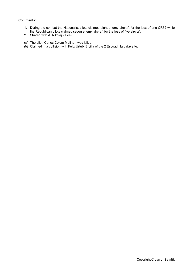### **Comments:**

- 1. During the combat the Nationalist pilots claimed eight enemy aircraft for the loss of one CR32 while the Republican pilots claimed seven enemy aircraft for the loss of five aircraft.
- 2. Shared with A. Nikolaj Zajcev
- (a) The pilot, Carlos Colom Moliner, was killed.
- (b) Claimed in a collision with Felix Urtubi Ercilla of the 2 Escuadrilla Lafayette.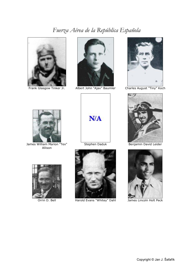### *Fuerza Aérea de la República Española*







Frank Glasgow Tinker Jr. Albert John "Ajax" Baumler Charles August "Tiny" Koch



James William Marion "Tex" Allison







Orrin D. Bell Harold Evans "Whitey" Dahl James Lincoln Holt Peck



Stephen Daduk Benjamin David Leider

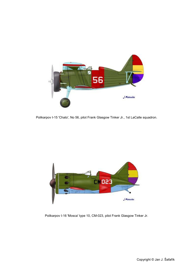

Polikarpov I-15 'Chato', No 56, pilot Frank Glasgow Tinker Jr., 1st LaCalle squadron.



Polikarpov I-16 'Mosca' type 10, CM-023, pilot Frank Glasgow Tinker Jr.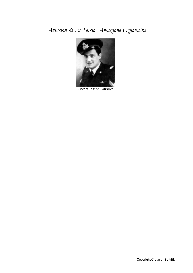### *Aviación de El Tercio, Aviazione Legionaira*



Vincent Joseph Patriarca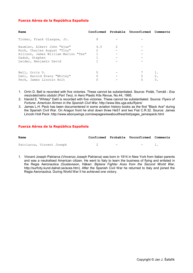### **Fuerza Aérea de la República Española**

| Name                                |               |                | Confirmed Probable Unconfirmed Comments |    |
|-------------------------------------|---------------|----------------|-----------------------------------------|----|
| Tinker, Frank Glasgow, Jr.          | 8             |                |                                         |    |
| Baumler, Albert John "Ajax"         | 4.5           | $\mathfrak{D}$ |                                         |    |
| Koch, Charles August "Tiny"         | $\mathcal{L}$ |                |                                         |    |
| Allison, James William Marion "Tex" |               |                |                                         |    |
| Daduk, Stephen                      |               |                |                                         |    |
| Leider, Benjamin David              |               |                |                                         |    |
|                                     |               |                |                                         |    |
| Bell, Orrin D.                      |               |                |                                         |    |
| Dahl, Harold Evans "Whitey"         |               |                | 5                                       | 2. |
| Peck, James Lincoln Holt            |               |                | 5                                       | 3. |

1. Orrin D. Bell is recorded with five victories. These cannot be substantiated. Source: Polák, Tomáš - *Esa meziválečného období (Part Two)*, in Aero Plastic Kits Revue, No.44, 1995.

2. Harold E. "Whitey" Dahl is recorded with five victories. These cannot be substantiated. Source: *Flyers of Fortune: American Airmen in the Spanish Civil War*, [http://www.libs.uga.](http://www.libs.uga)edu/flyers/

3. James L.H. Peck has been documentered in some aviation history books as the first "Black Ace" during the Spanish Civil War. On Aragon front he shot down three He51 and two Fiat C.R.32. Source: James Lincoln Holt Peck: [http://www.ebonywings.com/](http://www.ebonywings.com)ewpages/ewabouttheartist/pages\_jamespeck.html

### **Fuerza Aérea de la República Española**

| Name                      |  |     | Confirmed Probable Unconfirmed Comments |  |
|---------------------------|--|-----|-----------------------------------------|--|
| Patriarca, Vincent Joseph |  | $-$ | $-$ 1                                   |  |

1. Vincent Joseph Patriarca (Vincenzo Joseph Patriarca) was born in 1914 in New York from Italian parents and was a neutralised American citizen. He went to Italy to learn the business of flying and enlisted in the Regia Aeronautica (Gustavsson, Håkan: *Biplane Fighter Aces from the Second World War*, [http://surfcity.kund.dalnet.se/aces.htm\).](http://surfcity.kund.dalnet.se/aces.htm)) After the Spanish Civil War he returned to Italy and joined the Regia Aeronautica. During World War II he achieved one victory.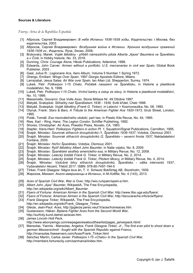#### **Sources & Literature:**

*Fuerza Aérea de la República Española*

- [1] Абросов, Сергей Владимирович: *В небе Испании 1936-1939 годы*, Издательство: г.Москва, без издательства, 2003.
- [2] Абросов, Сергей Владимирович: *Воздушная война в Испании. Хроника воздушных сражений 1936-1939 гг.*, Издатель: Яуза, Эксмо, 2008.
- [3] Brzkovský, Marek: Voják štěstěny příběh námezdního pilota Alberta "Ajaxe" Baumlera ve Španělsku *a v Číně*, in Hobby historie, No. 33, 2016.
- [4] Dunning, Chris: *Courage Alone*, Hikoki Publications, Aldershot, 1998.
- [5] Edwards, John Carver: *Airmen without a portfolio: U.S. mercenaries in civil war Spain*, Global Book Publisher, 2003 .
- [6] Gaal, Julius R.: *Legionaire Ace*, Aero Album, Volume 5 Number 1 Spring 1972.
- [7] Ghergo, Emiliani: *Wings Over Spain*, 1997 Giorgio Apostolo Editore, Milano
- [8] Larrazabal, Jesus Salas: *Air War over Spain*, Ian Allan Ltd, Shepperton, Surrey, 1974.
- [9] Lukeš, Petr: *Polikarpov I-15 Chato, Počátek nasazení ve Španělsku*, in Historie a plastikové modelářství, No. 9, 1999.
- [10] Lukeš, Petr: *Polikarpov I-15 Chato, Vrchol karéry a ústup ze slavy*, in Historie a plastikové modelářství, No. 10, 1999.
- [11] Massimello, Giovanni: *Due Volte Asso*, Storia Militare Nr. 49 Ottobre 1997.
- [12] Matyáš, Svatopluk: *Stíhačky nad Španělskem 1936 - 1939*, Svět křídel, Cheb 1998.
- [13] Matyáš, Svatopluk: *Voják štěstěny (Frank G. Tinker), in* Letectví + Kosmonautika, No. 08, 1990.
- [14] Olynyk, Frank: *Stars & Bars, A Tribute to the American Fighter Ace 1920-1973*, Grub Street, London, 1995.
- [15] Polák, Tomáš: *Esa meziválečného období*, part two, in Plastic Kits Revue, No. 44, 1995.
- [16] Ries, Karl Ring, Hans: *The Legion Condor*, Schiffer Publishing, 1992.
- [17] Shores, Christopher: *Air Aces*, Presidio Press, Novato, CA, 1983.
- [18] Stapfer, Hans-Heiri: *Polikarpov Fighters in action Pt. 1*, Squadron/Signal Publications, Carrollton, 1995.
- [19] Šnajdr, Miroslav: *Soumrak stíhacích dvouplošníků /1, Španělsko 1936-1937*, Votobia, Olomouc 2001.
- [20] Šnajdr, Miroslav: *Soumrak stíhacích dvouplošníků /2, Španělsko – severní fronta 1937*, Nakladatelství Fontána, 2005.
- [21] Šnajdr, Miroslav: *Hořící Španělsko*, Votobia, Olomouc 2001.
- [22] Šnajdr, Miroslav: *Rytíř štěstěny Albert John Baumler*, in Naše vojsko, No. 8, 2009.
- [23] Šnajdr, Miroslav: *Španělské sestřely amerického esa*, in Military Revue, No. 12, 2009.
- [24] Šnajdr, Miroslav: *Letecký žoldák Frank G. Tinker*, in Military Revue, No. 2, 2014.
- [25] Šnajdr, Miroslav: *Letecký žoldák Frank G. Tinker, Pilotem Moscy*, in Military Revue, No. 4, 2014.
- [26] Šnajdr, Miroslav: *Vzdušné bitvy stíhacích dvouplošníků, Španělsko - válka interventů 1937*, Vydavatelství Akcent, Třebíč 2017. ISBN: 978-80-7497-194-5
- [27] Tinker, Frank Glasgow: *Några leva än*, T. V. Scheutz Bokförlag AB, Stockholm, 1939.
- [28] Жирохов, Михаил: *Англо-американцы в Испании*, in М-Хобби, No. 4 (143), 2013.
- [29] *Aces of Spanish Civil War, War is Over*,<http://wio.ru/spain/spain>-a.htm.
- [30] *Albert John "Ajax" Baumler*, WikipediA, The Free Encyclopedia,
- [http://en.wikipedia.org/wiki/Albert\\_Baumler.](http://en.wikipedia.org/wiki/Albert_Baumler)
- [31] *Flyers of Fortune: American Airmen in the Spanish Civil War*, <http://www.libs.uga.edu/flyers/>.
- [32] *Flyers of Fortune: American Airmen in the Spanish Civil War*, [http://lacucaracha.info/scw/flyers/.](http://lacucaracha.info/scw/flyers/)
- [33] *Frank Glasgow Tinker*, WikipediA, The Free Encyclopedia, http://en.wikipedia.org/wiki/Frank\_Glasgow\_Tinker.
- [34] Gleize, Jean-Paul: *Aces*, [http://jpgleize.perso.neuf.fr/aces/homeaces.htm.](http://jpgleize.perso.neuf.fr/aces/homeaces.htm)
- [35] Gustavsson, Håkan: *Biplane Fighter Aces from the Second World War*, <http://surfcity.kund.dalnet.se/aces.htm>.
- [36] *James Lincoln Holt Peck*,
- <http://www.ebonywings.com/ewpages/ewabouttheartist/p>ages\_jamespeck.html/.
- [37] Mansolas, Yiannis Mansolas, Angelos: *Frank Glasgow Tinker, Jr., The first ever pilot to shoot down a german Messerschmit - fought with the Spanish Republic against Franco*, [http://imansolas.freeservers.com/Aces/Frank\\_Tinker.html](http://imansolas.freeservers.com/Aces/Frank_Tinker.html)
- [38] Sánchez Martín, Carlos Javier: *Polikarpov I-15 «Chato» In the Spanish Civil War*, [http://members.fortunecity.com/sanmarca](http://members.fortunecity.com/sanmarc)/iindex.htm.